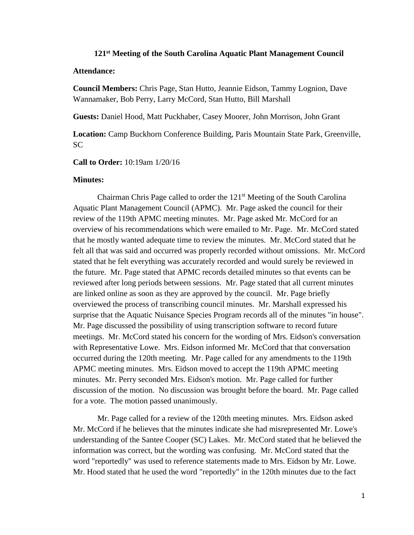## **121 st Meeting of the South Carolina Aquatic Plant Management Council**

## **Attendance:**

**Council Members:** Chris Page, Stan Hutto, Jeannie Eidson, Tammy Lognion, Dave Wannamaker, Bob Perry, Larry McCord, Stan Hutto, Bill Marshall

**Guests:** Daniel Hood, Matt Puckhaber, Casey Moorer, John Morrison, John Grant

**Location:** Camp Buckhorn Conference Building, Paris Mountain State Park, Greenville, SC

**Call to Order:** 10:19am 1/20/16

## **Minutes:**

Chairman Chris Page called to order the 121<sup>st</sup> Meeting of the South Carolina Aquatic Plant Management Council (APMC). Mr. Page asked the council for their review of the 119th APMC meeting minutes. Mr. Page asked Mr. McCord for an overview of his recommendations which were emailed to Mr. Page. Mr. McCord stated that he mostly wanted adequate time to review the minutes. Mr. McCord stated that he felt all that was said and occurred was properly recorded without omissions. Mr. McCord stated that he felt everything was accurately recorded and would surely be reviewed in the future. Mr. Page stated that APMC records detailed minutes so that events can be reviewed after long periods between sessions. Mr. Page stated that all current minutes are linked online as soon as they are approved by the council. Mr. Page briefly overviewed the process of transcribing council minutes. Mr. Marshall expressed his surprise that the Aquatic Nuisance Species Program records all of the minutes "in house". Mr. Page discussed the possibility of using transcription software to record future meetings. Mr. McCord stated his concern for the wording of Mrs. Eidson's conversation with Representative Lowe. Mrs. Eidson informed Mr. McCord that that conversation occurred during the 120th meeting. Mr. Page called for any amendments to the 119th APMC meeting minutes. Mrs. Eidson moved to accept the 119th APMC meeting minutes. Mr. Perry seconded Mrs. Eidson's motion. Mr. Page called for further discussion of the motion. No discussion was brought before the board. Mr. Page called for a vote. The motion passed unanimously.

Mr. Page called for a review of the 120th meeting minutes. Mrs. Eidson asked Mr. McCord if he believes that the minutes indicate she had misrepresented Mr. Lowe's understanding of the Santee Cooper (SC) Lakes. Mr. McCord stated that he believed the information was correct, but the wording was confusing. Mr. McCord stated that the word "reportedly" was used to reference statements made to Mrs. Eidson by Mr. Lowe. Mr. Hood stated that he used the word "reportedly" in the 120th minutes due to the fact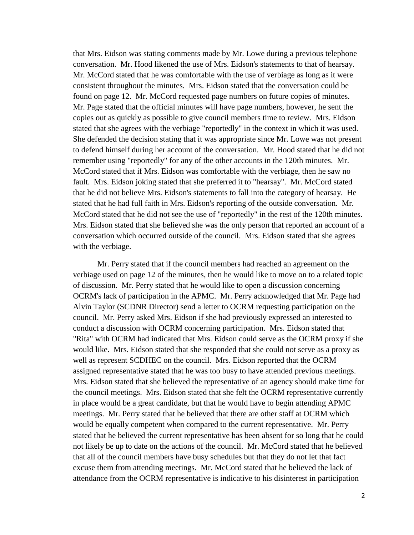that Mrs. Eidson was stating comments made by Mr. Lowe during a previous telephone conversation. Mr. Hood likened the use of Mrs. Eidson's statements to that of hearsay. Mr. McCord stated that he was comfortable with the use of verbiage as long as it were consistent throughout the minutes. Mrs. Eidson stated that the conversation could be found on page 12. Mr. McCord requested page numbers on future copies of minutes. Mr. Page stated that the official minutes will have page numbers, however, he sent the copies out as quickly as possible to give council members time to review. Mrs. Eidson stated that she agrees with the verbiage "reportedly" in the context in which it was used. She defended the decision stating that it was appropriate since Mr. Lowe was not present to defend himself during her account of the conversation. Mr. Hood stated that he did not remember using "reportedly" for any of the other accounts in the 120th minutes. Mr. McCord stated that if Mrs. Eidson was comfortable with the verbiage, then he saw no fault. Mrs. Eidson joking stated that she preferred it to "hearsay". Mr. McCord stated that he did not believe Mrs. Eidson's statements to fall into the category of hearsay. He stated that he had full faith in Mrs. Eidson's reporting of the outside conversation. Mr. McCord stated that he did not see the use of "reportedly" in the rest of the 120th minutes. Mrs. Eidson stated that she believed she was the only person that reported an account of a conversation which occurred outside of the council. Mrs. Eidson stated that she agrees with the verbiage.

Mr. Perry stated that if the council members had reached an agreement on the verbiage used on page 12 of the minutes, then he would like to move on to a related topic of discussion. Mr. Perry stated that he would like to open a discussion concerning OCRM's lack of participation in the APMC. Mr. Perry acknowledged that Mr. Page had Alvin Taylor (SCDNR Director) send a letter to OCRM requesting participation on the council. Mr. Perry asked Mrs. Eidson if she had previously expressed an interested to conduct a discussion with OCRM concerning participation. Mrs. Eidson stated that "Rita" with OCRM had indicated that Mrs. Eidson could serve as the OCRM proxy if she would like. Mrs. Eidson stated that she responded that she could not serve as a proxy as well as represent SCDHEC on the council. Mrs. Eidson reported that the OCRM assigned representative stated that he was too busy to have attended previous meetings. Mrs. Eidson stated that she believed the representative of an agency should make time for the council meetings. Mrs. Eidson stated that she felt the OCRM representative currently in place would be a great candidate, but that he would have to begin attending APMC meetings. Mr. Perry stated that he believed that there are other staff at OCRM which would be equally competent when compared to the current representative. Mr. Perry stated that he believed the current representative has been absent for so long that he could not likely be up to date on the actions of the council. Mr. McCord stated that he believed that all of the council members have busy schedules but that they do not let that fact excuse them from attending meetings. Mr. McCord stated that he believed the lack of attendance from the OCRM representative is indicative to his disinterest in participation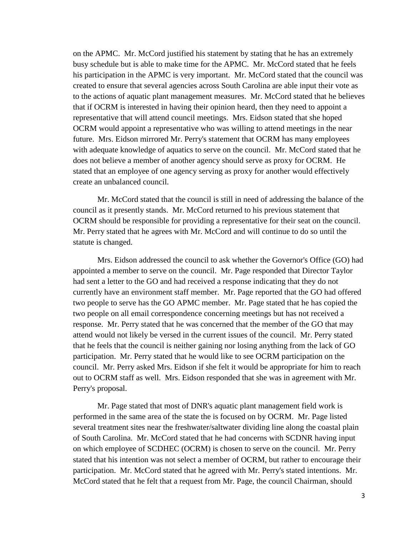on the APMC. Mr. McCord justified his statement by stating that he has an extremely busy schedule but is able to make time for the APMC. Mr. McCord stated that he feels his participation in the APMC is very important. Mr. McCord stated that the council was created to ensure that several agencies across South Carolina are able input their vote as to the actions of aquatic plant management measures. Mr. McCord stated that he believes that if OCRM is interested in having their opinion heard, then they need to appoint a representative that will attend council meetings. Mrs. Eidson stated that she hoped OCRM would appoint a representative who was willing to attend meetings in the near future. Mrs. Eidson mirrored Mr. Perry's statement that OCRM has many employees with adequate knowledge of aquatics to serve on the council. Mr. McCord stated that he does not believe a member of another agency should serve as proxy for OCRM. He stated that an employee of one agency serving as proxy for another would effectively create an unbalanced council.

Mr. McCord stated that the council is still in need of addressing the balance of the council as it presently stands. Mr. McCord returned to his previous statement that OCRM should be responsible for providing a representative for their seat on the council. Mr. Perry stated that he agrees with Mr. McCord and will continue to do so until the statute is changed.

Mrs. Eidson addressed the council to ask whether the Governor's Office (GO) had appointed a member to serve on the council. Mr. Page responded that Director Taylor had sent a letter to the GO and had received a response indicating that they do not currently have an environment staff member. Mr. Page reported that the GO had offered two people to serve has the GO APMC member. Mr. Page stated that he has copied the two people on all email correspondence concerning meetings but has not received a response. Mr. Perry stated that he was concerned that the member of the GO that may attend would not likely be versed in the current issues of the council. Mr. Perry stated that he feels that the council is neither gaining nor losing anything from the lack of GO participation. Mr. Perry stated that he would like to see OCRM participation on the council. Mr. Perry asked Mrs. Eidson if she felt it would be appropriate for him to reach out to OCRM staff as well. Mrs. Eidson responded that she was in agreement with Mr. Perry's proposal.

Mr. Page stated that most of DNR's aquatic plant management field work is performed in the same area of the state the is focused on by OCRM. Mr. Page listed several treatment sites near the freshwater/saltwater dividing line along the coastal plain of South Carolina. Mr. McCord stated that he had concerns with SCDNR having input on which employee of SCDHEC (OCRM) is chosen to serve on the council. Mr. Perry stated that his intention was not select a member of OCRM, but rather to encourage their participation. Mr. McCord stated that he agreed with Mr. Perry's stated intentions. Mr. McCord stated that he felt that a request from Mr. Page, the council Chairman, should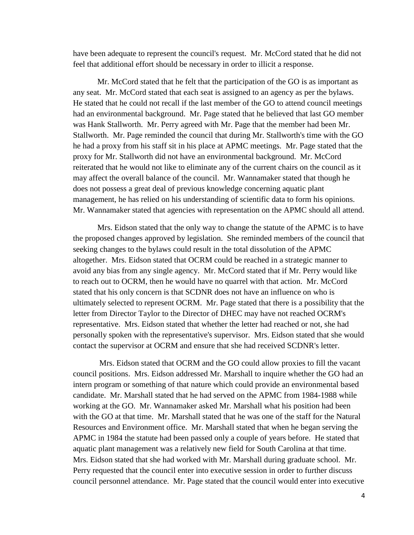have been adequate to represent the council's request. Mr. McCord stated that he did not feel that additional effort should be necessary in order to illicit a response.

Mr. McCord stated that he felt that the participation of the GO is as important as any seat. Mr. McCord stated that each seat is assigned to an agency as per the bylaws. He stated that he could not recall if the last member of the GO to attend council meetings had an environmental background. Mr. Page stated that he believed that last GO member was Hank Stallworth. Mr. Perry agreed with Mr. Page that the member had been Mr. Stallworth. Mr. Page reminded the council that during Mr. Stallworth's time with the GO he had a proxy from his staff sit in his place at APMC meetings. Mr. Page stated that the proxy for Mr. Stallworth did not have an environmental background. Mr. McCord reiterated that he would not like to eliminate any of the current chairs on the council as it may affect the overall balance of the council. Mr. Wannamaker stated that though he does not possess a great deal of previous knowledge concerning aquatic plant management, he has relied on his understanding of scientific data to form his opinions. Mr. Wannamaker stated that agencies with representation on the APMC should all attend.

Mrs. Eidson stated that the only way to change the statute of the APMC is to have the proposed changes approved by legislation. She reminded members of the council that seeking changes to the bylaws could result in the total dissolution of the APMC altogether. Mrs. Eidson stated that OCRM could be reached in a strategic manner to avoid any bias from any single agency. Mr. McCord stated that if Mr. Perry would like to reach out to OCRM, then he would have no quarrel with that action. Mr. McCord stated that his only concern is that SCDNR does not have an influence on who is ultimately selected to represent OCRM. Mr. Page stated that there is a possibility that the letter from Director Taylor to the Director of DHEC may have not reached OCRM's representative. Mrs. Eidson stated that whether the letter had reached or not, she had personally spoken with the representative's supervisor. Mrs. Eidson stated that she would contact the supervisor at OCRM and ensure that she had received SCDNR's letter.

Mrs. Eidson stated that OCRM and the GO could allow proxies to fill the vacant council positions. Mrs. Eidson addressed Mr. Marshall to inquire whether the GO had an intern program or something of that nature which could provide an environmental based candidate. Mr. Marshall stated that he had served on the APMC from 1984-1988 while working at the GO. Mr. Wannamaker asked Mr. Marshall what his position had been with the GO at that time. Mr. Marshall stated that he was one of the staff for the Natural Resources and Environment office. Mr. Marshall stated that when he began serving the APMC in 1984 the statute had been passed only a couple of years before. He stated that aquatic plant management was a relatively new field for South Carolina at that time. Mrs. Eidson stated that she had worked with Mr. Marshall during graduate school. Mr. Perry requested that the council enter into executive session in order to further discuss council personnel attendance. Mr. Page stated that the council would enter into executive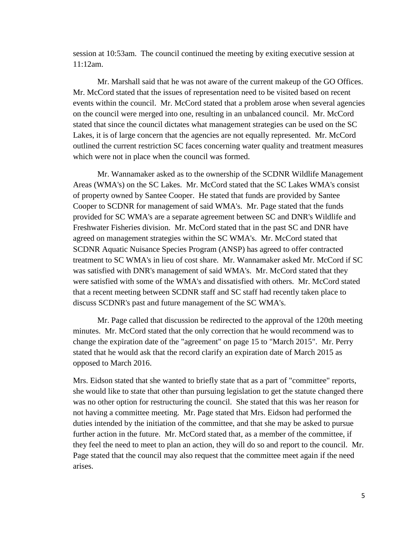session at 10:53am. The council continued the meeting by exiting executive session at 11:12am.

Mr. Marshall said that he was not aware of the current makeup of the GO Offices. Mr. McCord stated that the issues of representation need to be visited based on recent events within the council. Mr. McCord stated that a problem arose when several agencies on the council were merged into one, resulting in an unbalanced council. Mr. McCord stated that since the council dictates what management strategies can be used on the SC Lakes, it is of large concern that the agencies are not equally represented. Mr. McCord outlined the current restriction SC faces concerning water quality and treatment measures which were not in place when the council was formed.

Mr. Wannamaker asked as to the ownership of the SCDNR Wildlife Management Areas (WMA's) on the SC Lakes. Mr. McCord stated that the SC Lakes WMA's consist of property owned by Santee Cooper. He stated that funds are provided by Santee Cooper to SCDNR for management of said WMA's. Mr. Page stated that the funds provided for SC WMA's are a separate agreement between SC and DNR's Wildlife and Freshwater Fisheries division. Mr. McCord stated that in the past SC and DNR have agreed on management strategies within the SC WMA's. Mr. McCord stated that SCDNR Aquatic Nuisance Species Program (ANSP) has agreed to offer contracted treatment to SC WMA's in lieu of cost share. Mr. Wannamaker asked Mr. McCord if SC was satisfied with DNR's management of said WMA's. Mr. McCord stated that they were satisfied with some of the WMA's and dissatisfied with others. Mr. McCord stated that a recent meeting between SCDNR staff and SC staff had recently taken place to discuss SCDNR's past and future management of the SC WMA's.

Mr. Page called that discussion be redirected to the approval of the 120th meeting minutes. Mr. McCord stated that the only correction that he would recommend was to change the expiration date of the "agreement" on page 15 to "March 2015". Mr. Perry stated that he would ask that the record clarify an expiration date of March 2015 as opposed to March 2016.

Mrs. Eidson stated that she wanted to briefly state that as a part of "committee" reports, she would like to state that other than pursuing legislation to get the statute changed there was no other option for restructuring the council. She stated that this was her reason for not having a committee meeting. Mr. Page stated that Mrs. Eidson had performed the duties intended by the initiation of the committee, and that she may be asked to pursue further action in the future. Mr. McCord stated that, as a member of the committee, if they feel the need to meet to plan an action, they will do so and report to the council. Mr. Page stated that the council may also request that the committee meet again if the need arises.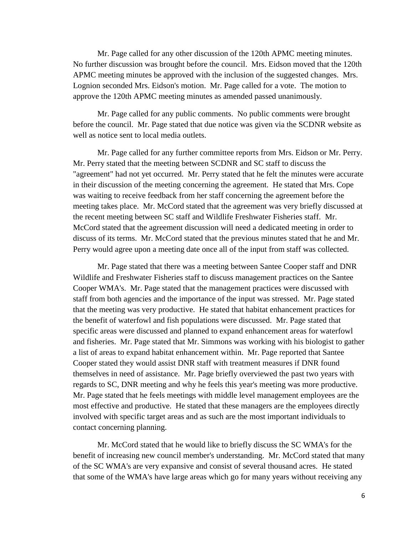Mr. Page called for any other discussion of the 120th APMC meeting minutes. No further discussion was brought before the council. Mrs. Eidson moved that the 120th APMC meeting minutes be approved with the inclusion of the suggested changes. Mrs. Lognion seconded Mrs. Eidson's motion. Mr. Page called for a vote. The motion to approve the 120th APMC meeting minutes as amended passed unanimously.

Mr. Page called for any public comments. No public comments were brought before the council. Mr. Page stated that due notice was given via the SCDNR website as well as notice sent to local media outlets.

Mr. Page called for any further committee reports from Mrs. Eidson or Mr. Perry. Mr. Perry stated that the meeting between SCDNR and SC staff to discuss the "agreement" had not yet occurred. Mr. Perry stated that he felt the minutes were accurate in their discussion of the meeting concerning the agreement. He stated that Mrs. Cope was waiting to receive feedback from her staff concerning the agreement before the meeting takes place. Mr. McCord stated that the agreement was very briefly discussed at the recent meeting between SC staff and Wildlife Freshwater Fisheries staff. Mr. McCord stated that the agreement discussion will need a dedicated meeting in order to discuss of its terms. Mr. McCord stated that the previous minutes stated that he and Mr. Perry would agree upon a meeting date once all of the input from staff was collected.

Mr. Page stated that there was a meeting between Santee Cooper staff and DNR Wildlife and Freshwater Fisheries staff to discuss management practices on the Santee Cooper WMA's. Mr. Page stated that the management practices were discussed with staff from both agencies and the importance of the input was stressed. Mr. Page stated that the meeting was very productive. He stated that habitat enhancement practices for the benefit of waterfowl and fish populations were discussed. Mr. Page stated that specific areas were discussed and planned to expand enhancement areas for waterfowl and fisheries. Mr. Page stated that Mr. Simmons was working with his biologist to gather a list of areas to expand habitat enhancement within. Mr. Page reported that Santee Cooper stated they would assist DNR staff with treatment measures if DNR found themselves in need of assistance. Mr. Page briefly overviewed the past two years with regards to SC, DNR meeting and why he feels this year's meeting was more productive. Mr. Page stated that he feels meetings with middle level management employees are the most effective and productive. He stated that these managers are the employees directly involved with specific target areas and as such are the most important individuals to contact concerning planning.

Mr. McCord stated that he would like to briefly discuss the SC WMA's for the benefit of increasing new council member's understanding. Mr. McCord stated that many of the SC WMA's are very expansive and consist of several thousand acres. He stated that some of the WMA's have large areas which go for many years without receiving any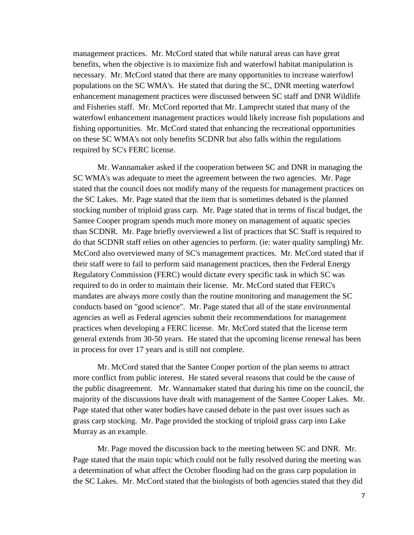management practices. Mr. McCord stated that while natural areas can have great benefits, when the objective is to maximize fish and waterfowl habitat manipulation is necessary. Mr. McCord stated that there are many opportunities to increase waterfowl populations on the SC WMA's. He stated that during the SC, DNR meeting waterfowl enhancement management practices were discussed between SC staff and DNR Wildlife and Fisheries staff. Mr. McCord reported that Mr. Lamprecht stated that many of the waterfowl enhancement management practices would likely increase fish populations and fishing opportunities. Mr. McCord stated that enhancing the recreational opportunities on these SC WMA's not only benefits SCDNR but also falls within the regulations required by SC's FERC license.

Mr. Wannamaker asked if the cooperation between SC and DNR in managing the SC WMA's was adequate to meet the agreement between the two agencies. Mr. Page stated that the council does not modify many of the requests for management practices on the SC Lakes. Mr. Page stated that the item that is sometimes debated is the planned stocking number of triploid grass carp. Mr. Page stated that in terms of fiscal budget, the Santee Cooper program spends much more money on management of aquatic species than SCDNR. Mr. Page briefly overviewed a list of practices that SC Staff is required to do that SCDNR staff relies on other agencies to perform. (ie: water quality sampling) Mr. McCord also overviewed many of SC's management practices. Mr. McCord stated that if their staff were to fail to perform said management practices, then the Federal Energy Regulatory Commission (FERC) would dictate every specific task in which SC was required to do in order to maintain their license. Mr. McCord stated that FERC's mandates are always more costly than the routine monitoring and management the SC conducts based on "good science". Mr. Page stated that all of the state environmental agencies as well as Federal agencies submit their recommendations for management practices when developing a FERC license. Mr. McCord stated that the license term general extends from 30-50 years. He stated that the upcoming license renewal has been in process for over 17 years and is still not complete.

Mr. McCord stated that the Santee Cooper portion of the plan seems to attract more conflict from public interest. He stated several reasons that could be the cause of the public disagreement. Mr. Wannamaker stated that during his time on the council, the majority of the discussions have dealt with management of the Santee Cooper Lakes. Mr. Page stated that other water bodies have caused debate in the past over issues such as grass carp stocking. Mr. Page provided the stocking of triploid grass carp into Lake Murray as an example.

Mr. Page moved the discussion back to the meeting between SC and DNR. Mr. Page stated that the main topic which could not be fully resolved during the meeting was a determination of what affect the October flooding had on the grass carp population in the SC Lakes. Mr. McCord stated that the biologists of both agencies stated that they did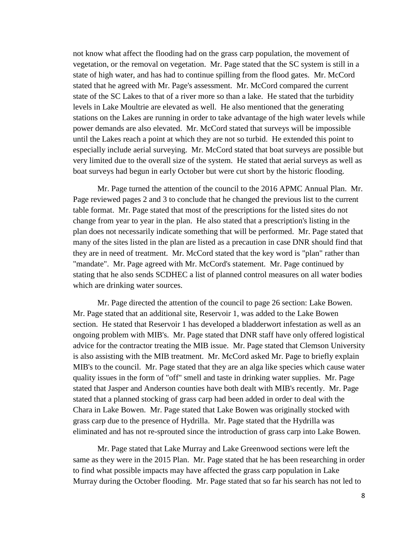not know what affect the flooding had on the grass carp population, the movement of vegetation, or the removal on vegetation. Mr. Page stated that the SC system is still in a state of high water, and has had to continue spilling from the flood gates. Mr. McCord stated that he agreed with Mr. Page's assessment. Mr. McCord compared the current state of the SC Lakes to that of a river more so than a lake. He stated that the turbidity levels in Lake Moultrie are elevated as well. He also mentioned that the generating stations on the Lakes are running in order to take advantage of the high water levels while power demands are also elevated. Mr. McCord stated that surveys will be impossible until the Lakes reach a point at which they are not so turbid. He extended this point to especially include aerial surveying. Mr. McCord stated that boat surveys are possible but very limited due to the overall size of the system. He stated that aerial surveys as well as boat surveys had begun in early October but were cut short by the historic flooding.

Mr. Page turned the attention of the council to the 2016 APMC Annual Plan. Mr. Page reviewed pages 2 and 3 to conclude that he changed the previous list to the current table format. Mr. Page stated that most of the prescriptions for the listed sites do not change from year to year in the plan. He also stated that a prescription's listing in the plan does not necessarily indicate something that will be performed. Mr. Page stated that many of the sites listed in the plan are listed as a precaution in case DNR should find that they are in need of treatment. Mr. McCord stated that the key word is "plan" rather than "mandate". Mr. Page agreed with Mr. McCord's statement. Mr. Page continued by stating that he also sends SCDHEC a list of planned control measures on all water bodies which are drinking water sources.

Mr. Page directed the attention of the council to page 26 section: Lake Bowen. Mr. Page stated that an additional site, Reservoir 1, was added to the Lake Bowen section. He stated that Reservoir 1 has developed a bladderwort infestation as well as an ongoing problem with MIB's. Mr. Page stated that DNR staff have only offered logistical advice for the contractor treating the MIB issue. Mr. Page stated that Clemson University is also assisting with the MIB treatment. Mr. McCord asked Mr. Page to briefly explain MIB's to the council. Mr. Page stated that they are an alga like species which cause water quality issues in the form of "off" smell and taste in drinking water supplies. Mr. Page stated that Jasper and Anderson counties have both dealt with MIB's recently. Mr. Page stated that a planned stocking of grass carp had been added in order to deal with the Chara in Lake Bowen. Mr. Page stated that Lake Bowen was originally stocked with grass carp due to the presence of Hydrilla. Mr. Page stated that the Hydrilla was eliminated and has not re-sprouted since the introduction of grass carp into Lake Bowen.

Mr. Page stated that Lake Murray and Lake Greenwood sections were left the same as they were in the 2015 Plan. Mr. Page stated that he has been researching in order to find what possible impacts may have affected the grass carp population in Lake Murray during the October flooding. Mr. Page stated that so far his search has not led to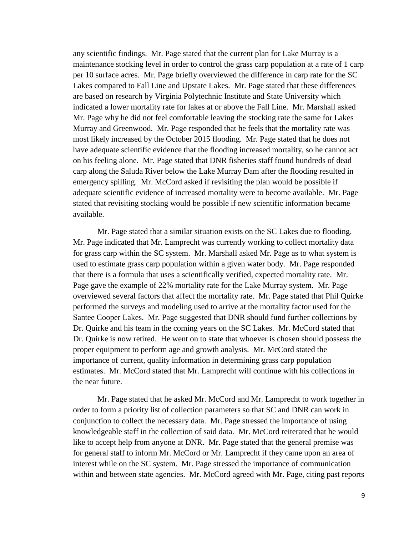any scientific findings. Mr. Page stated that the current plan for Lake Murray is a maintenance stocking level in order to control the grass carp population at a rate of 1 carp per 10 surface acres. Mr. Page briefly overviewed the difference in carp rate for the SC Lakes compared to Fall Line and Upstate Lakes. Mr. Page stated that these differences are based on research by Virginia Polytechnic Institute and State University which indicated a lower mortality rate for lakes at or above the Fall Line. Mr. Marshall asked Mr. Page why he did not feel comfortable leaving the stocking rate the same for Lakes Murray and Greenwood. Mr. Page responded that he feels that the mortality rate was most likely increased by the October 2015 flooding. Mr. Page stated that he does not have adequate scientific evidence that the flooding increased mortality, so he cannot act on his feeling alone. Mr. Page stated that DNR fisheries staff found hundreds of dead carp along the Saluda River below the Lake Murray Dam after the flooding resulted in emergency spilling. Mr. McCord asked if revisiting the plan would be possible if adequate scientific evidence of increased mortality were to become available. Mr. Page stated that revisiting stocking would be possible if new scientific information became available.

Mr. Page stated that a similar situation exists on the SC Lakes due to flooding. Mr. Page indicated that Mr. Lamprecht was currently working to collect mortality data for grass carp within the SC system. Mr. Marshall asked Mr. Page as to what system is used to estimate grass carp population within a given water body. Mr. Page responded that there is a formula that uses a scientifically verified, expected mortality rate. Mr. Page gave the example of 22% mortality rate for the Lake Murray system. Mr. Page overviewed several factors that affect the mortality rate. Mr. Page stated that Phil Quirke performed the surveys and modeling used to arrive at the mortality factor used for the Santee Cooper Lakes. Mr. Page suggested that DNR should fund further collections by Dr. Quirke and his team in the coming years on the SC Lakes. Mr. McCord stated that Dr. Quirke is now retired. He went on to state that whoever is chosen should possess the proper equipment to perform age and growth analysis. Mr. McCord stated the importance of current, quality information in determining grass carp population estimates. Mr. McCord stated that Mr. Lamprecht will continue with his collections in the near future.

Mr. Page stated that he asked Mr. McCord and Mr. Lamprecht to work together in order to form a priority list of collection parameters so that SC and DNR can work in conjunction to collect the necessary data. Mr. Page stressed the importance of using knowledgeable staff in the collection of said data. Mr. McCord reiterated that he would like to accept help from anyone at DNR. Mr. Page stated that the general premise was for general staff to inform Mr. McCord or Mr. Lamprecht if they came upon an area of interest while on the SC system. Mr. Page stressed the importance of communication within and between state agencies. Mr. McCord agreed with Mr. Page, citing past reports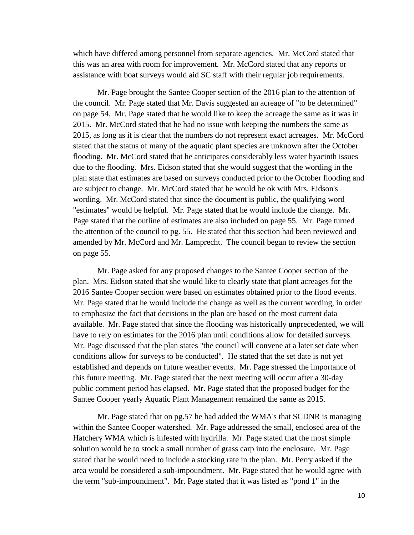which have differed among personnel from separate agencies. Mr. McCord stated that this was an area with room for improvement. Mr. McCord stated that any reports or assistance with boat surveys would aid SC staff with their regular job requirements.

Mr. Page brought the Santee Cooper section of the 2016 plan to the attention of the council. Mr. Page stated that Mr. Davis suggested an acreage of "to be determined" on page 54. Mr. Page stated that he would like to keep the acreage the same as it was in 2015. Mr. McCord stated that he had no issue with keeping the numbers the same as 2015, as long as it is clear that the numbers do not represent exact acreages. Mr. McCord stated that the status of many of the aquatic plant species are unknown after the October flooding. Mr. McCord stated that he anticipates considerably less water hyacinth issues due to the flooding. Mrs. Eidson stated that she would suggest that the wording in the plan state that estimates are based on surveys conducted prior to the October flooding and are subject to change. Mr. McCord stated that he would be ok with Mrs. Eidson's wording. Mr. McCord stated that since the document is public, the qualifying word "estimates" would be helpful. Mr. Page stated that he would include the change. Mr. Page stated that the outline of estimates are also included on page 55. Mr. Page turned the attention of the council to pg. 55. He stated that this section had been reviewed and amended by Mr. McCord and Mr. Lamprecht. The council began to review the section on page 55.

Mr. Page asked for any proposed changes to the Santee Cooper section of the plan. Mrs. Eidson stated that she would like to clearly state that plant acreages for the 2016 Santee Cooper section were based on estimates obtained prior to the flood events. Mr. Page stated that he would include the change as well as the current wording, in order to emphasize the fact that decisions in the plan are based on the most current data available. Mr. Page stated that since the flooding was historically unprecedented, we will have to rely on estimates for the 2016 plan until conditions allow for detailed surveys. Mr. Page discussed that the plan states "the council will convene at a later set date when conditions allow for surveys to be conducted". He stated that the set date is not yet established and depends on future weather events. Mr. Page stressed the importance of this future meeting. Mr. Page stated that the next meeting will occur after a 30-day public comment period has elapsed. Mr. Page stated that the proposed budget for the Santee Cooper yearly Aquatic Plant Management remained the same as 2015.

Mr. Page stated that on pg.57 he had added the WMA's that SCDNR is managing within the Santee Cooper watershed. Mr. Page addressed the small, enclosed area of the Hatchery WMA which is infested with hydrilla. Mr. Page stated that the most simple solution would be to stock a small number of grass carp into the enclosure. Mr. Page stated that he would need to include a stocking rate in the plan. Mr. Perry asked if the area would be considered a sub-impoundment. Mr. Page stated that he would agree with the term "sub-impoundment". Mr. Page stated that it was listed as "pond 1" in the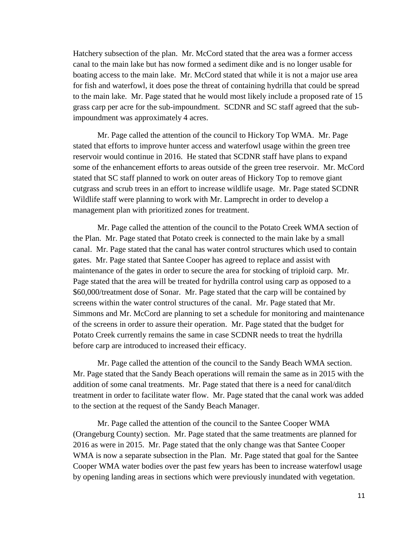Hatchery subsection of the plan. Mr. McCord stated that the area was a former access canal to the main lake but has now formed a sediment dike and is no longer usable for boating access to the main lake. Mr. McCord stated that while it is not a major use area for fish and waterfowl, it does pose the threat of containing hydrilla that could be spread to the main lake. Mr. Page stated that he would most likely include a proposed rate of 15 grass carp per acre for the sub-impoundment. SCDNR and SC staff agreed that the subimpoundment was approximately 4 acres.

Mr. Page called the attention of the council to Hickory Top WMA. Mr. Page stated that efforts to improve hunter access and waterfowl usage within the green tree reservoir would continue in 2016. He stated that SCDNR staff have plans to expand some of the enhancement efforts to areas outside of the green tree reservoir. Mr. McCord stated that SC staff planned to work on outer areas of Hickory Top to remove giant cutgrass and scrub trees in an effort to increase wildlife usage. Mr. Page stated SCDNR Wildlife staff were planning to work with Mr. Lamprecht in order to develop a management plan with prioritized zones for treatment.

Mr. Page called the attention of the council to the Potato Creek WMA section of the Plan. Mr. Page stated that Potato creek is connected to the main lake by a small canal. Mr. Page stated that the canal has water control structures which used to contain gates. Mr. Page stated that Santee Cooper has agreed to replace and assist with maintenance of the gates in order to secure the area for stocking of triploid carp. Mr. Page stated that the area will be treated for hydrilla control using carp as opposed to a \$60,000/treatment dose of Sonar. Mr. Page stated that the carp will be contained by screens within the water control structures of the canal. Mr. Page stated that Mr. Simmons and Mr. McCord are planning to set a schedule for monitoring and maintenance of the screens in order to assure their operation. Mr. Page stated that the budget for Potato Creek currently remains the same in case SCDNR needs to treat the hydrilla before carp are introduced to increased their efficacy.

Mr. Page called the attention of the council to the Sandy Beach WMA section. Mr. Page stated that the Sandy Beach operations will remain the same as in 2015 with the addition of some canal treatments. Mr. Page stated that there is a need for canal/ditch treatment in order to facilitate water flow. Mr. Page stated that the canal work was added to the section at the request of the Sandy Beach Manager.

Mr. Page called the attention of the council to the Santee Cooper WMA (Orangeburg County) section. Mr. Page stated that the same treatments are planned for 2016 as were in 2015. Mr. Page stated that the only change was that Santee Cooper WMA is now a separate subsection in the Plan. Mr. Page stated that goal for the Santee Cooper WMA water bodies over the past few years has been to increase waterfowl usage by opening landing areas in sections which were previously inundated with vegetation.